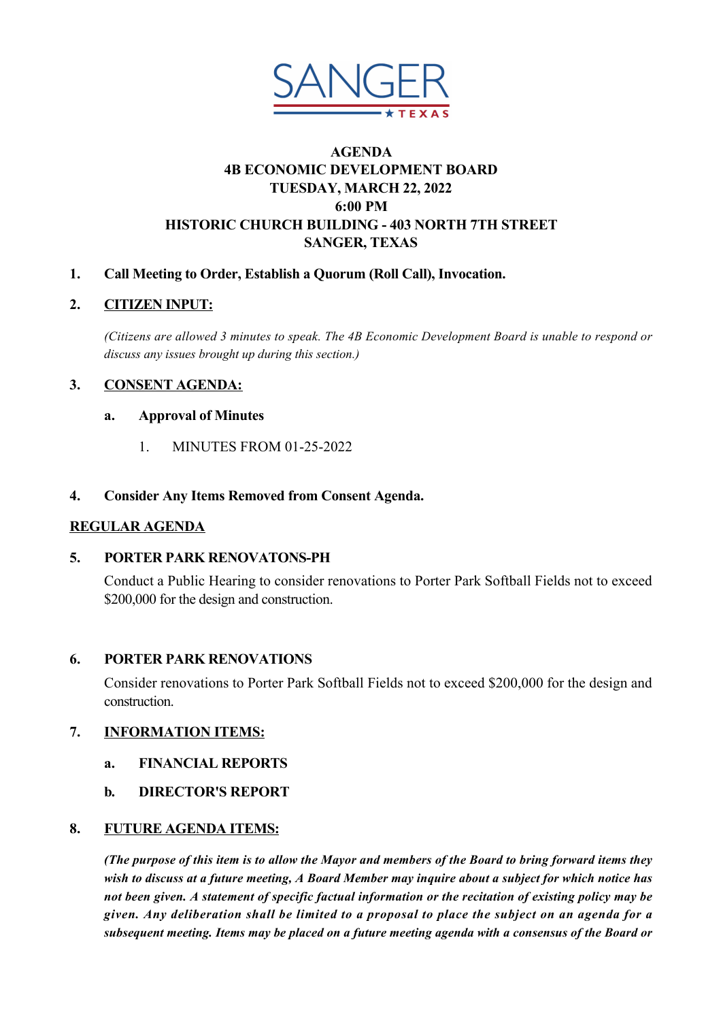

# **AGENDA 4B ECONOMIC DEVELOPMENT BOARD TUESDAY, MARCH 22, 2022 6:00 PM HISTORIC CHURCH BUILDING 403 NORTH 7TH STREET SANGER, TEXAS**

## **1. Call Meeting to Order, Establish a Quorum (Roll Call), Invocation.**

## **2. CITIZEN INPUT:**

*(Citizens are allowed 3 minutes to speak. The 4B Economic Development Board is unable to respond or discuss any issues brought up during this section.)*

## **3. CONSENT AGENDA:**

### **a. Approval of Minutes**

1 MINUTES FROM 01-25-2022

#### **4. Consider Any Items Removed from Consent Agenda.**

### **REGULAR AGENDA**

### **5. [PORTER PARK RENOVATONSPH](CoverSheet.aspx?ItemID=2546&MeetingID=320)**

Conduct a Public Hearing to consider renovations to Porter Park Softball Fields not to exceed \$200,000 for the design and construction.

### **6. [PORTER PARK RENOVATIONS](CoverSheet.aspx?ItemID=2594&MeetingID=320)**

Consider renovations to Porter Park Softball Fields not to exceed \$200,000 for the design and construction.

### **7. INFORMATION ITEMS:**

- **a. [FINANCIAL REPORTS](CoverSheet.aspx?ItemID=2601&MeetingID=320)**
- **b. [DIRECTOR'S REPORT](CoverSheet.aspx?ItemID=2600&MeetingID=320)**

### **8. FUTURE AGENDA ITEMS:**

*(The purpose of this item is to allow the Mayor and members of the Board to bring forward items they wish to discuss at a future meeting, A Board Member may inquire about a subject for which notice has not been given. A statement of specific factual information or the recitation of existing policy may be given. Any deliberation shall be limited to a proposal to place the subject on an agenda for a subsequent meeting. Items may be placed on a future meeting agenda with a consensus of the Board or*